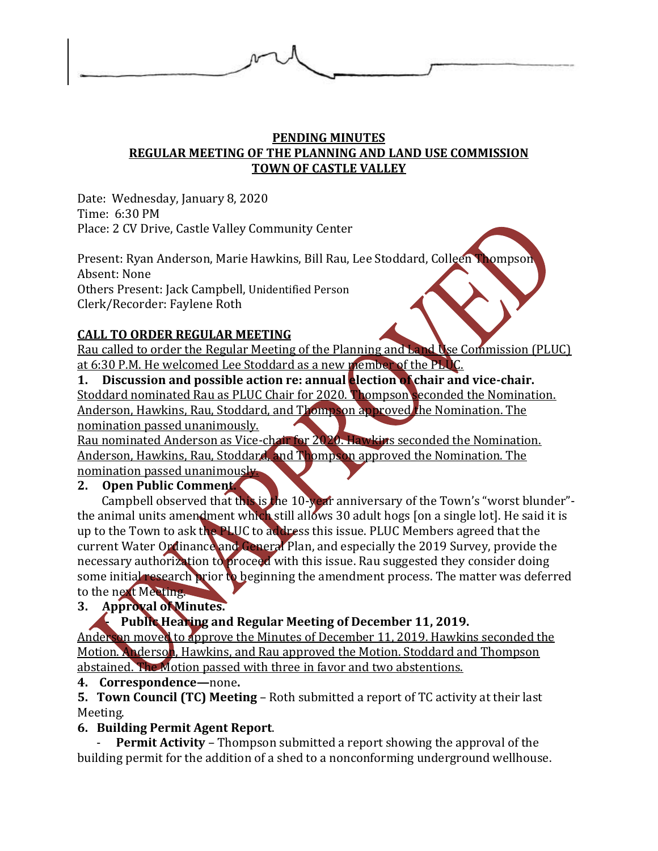

## **PENDING MINUTES REGULAR MEETING OF THE PLANNING AND LAND USE COMMISSION TOWN OF CASTLE VALLEY**

Date: Wednesday, January 8, 2020 Time: 6:30 PM Place: 2 CV Drive, Castle Valley Community Center

Present: Ryan Anderson, Marie Hawkins, Bill Rau, Lee Stoddard, Colleen Thompson Absent: None Others Present: Jack Campbell, Unidentified Person Clerk/Recorder: Faylene Roth

# **CALL TO ORDER REGULAR MEETING**

Rau called to order the Regular Meeting of the Planning and Land Use Commission (PLUC) at 6:30 P.M. He welcomed Lee Stoddard as a new member of the PLUC.

**1. Discussion and possible action re: annual election of chair and vice-chair.** Stoddard nominated Rau as PLUC Chair for 2020. Thompson seconded the Nomination. Anderson, Hawkins, Rau, Stoddard, and Thompson approved the Nomination. The nomination passed unanimously.

Rau nominated Anderson as Vice-chair for 2020. Hawkins seconded the Nomination. Anderson, Hawkins, Rau, Stoddard, and Thompson approved the Nomination. The nomination passed unanimously.

## **2. Open Public Comment.**

Campbell observed that this is the 10-year anniversary of the Town's "worst blunder" the animal units amendment which still allows 30 adult hogs [on a single lot]. He said it is up to the Town to ask the PLUC to address this issue. PLUC Members agreed that the current Water Ordinance and General Plan, and especially the 2019 Survey, provide the necessary authorization to proceed with this issue. Rau suggested they consider doing some initial research prior to beginning the amendment process. The matter was deferred to the next Meeting.

# **3. Approval of Minutes.**

## **- Public Hearing and Regular Meeting of December 11, 2019.**

Anderson moved to approve the Minutes of December 11, 2019. Hawkins seconded the Motion. Anderson, Hawkins, and Rau approved the Motion. Stoddard and Thompson abstained. The Motion passed with three in favor and two abstentions.

## **4. Correspondence—**none**.**

**5. Town Council (TC) Meeting** – Roth submitted a report of TC activity at their last Meeting.

# **6. Building Permit Agent Report**.

**Permit Activity** – Thompson submitted a report showing the approval of the building permit for the addition of a shed to a nonconforming underground wellhouse.